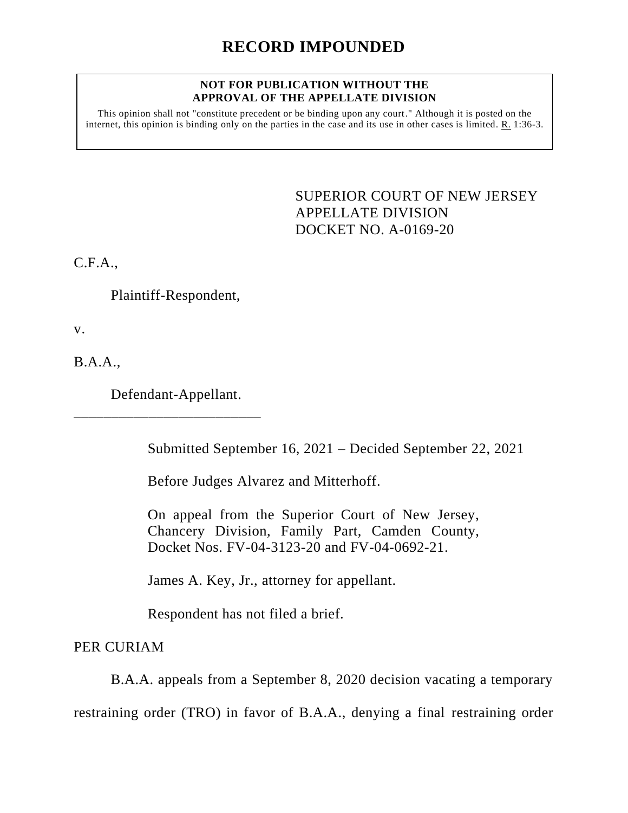#### **NOT FOR PUBLICATION WITHOUT THE APPROVAL OF THE APPELLATE DIVISION**

This opinion shall not "constitute precedent or be binding upon any court." Although it is posted on the internet, this opinion is binding only on the parties in the case and its use in other cases is limited. R. 1:36-3.

> <span id="page-0-0"></span>SUPERIOR COURT OF NEW JERSEY APPELLATE DIVISION DOCKET NO. A-0169-20

C.F.A.,

Plaintiff-Respondent,

v.

B.A.A.,

Defendant-Appellant.

\_\_\_\_\_\_\_\_\_\_\_\_\_\_\_\_\_\_\_\_\_\_\_\_\_

Submitted September 16, 2021 – Decided September 22, 2021

Before Judges Alvarez and Mitterhoff.

On appeal from the Superior Court of New Jersey, Chancery Division, Family Part, Camden County, Docket Nos. FV-04-3123-20 and FV-04-0692-21.

James A. Key, Jr., attorney for appellant.

Respondent has not filed a brief.

PER CURIAM

B.A.A. appeals from a September 8, 2020 decision vacating a temporary

restraining order (TRO) in favor of B.A.A., denying a final restraining order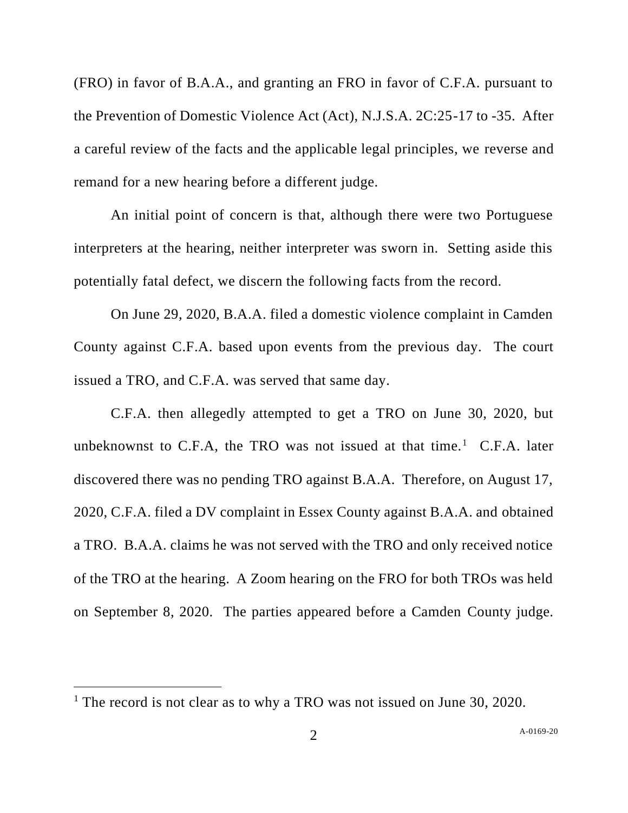(FRO) in favor of B.A.A., and granting an FRO in favor of C.F.A. pursuant to the Prevention of Domestic Violence Act (Act), N.J.S.A. 2C:25-17 to -35. After a careful review of the facts and the applicable legal principles, we reverse and remand for a new hearing before a different judge.

An initial point of concern is that, although there were two Portuguese interpreters at the hearing, neither interpreter was sworn in. Setting aside this potentially fatal defect, we discern the following facts from the record.

On June 29, 2020, B.A.A. filed a domestic violence complaint in Camden County against C.F.A. based upon events from the previous day. The court issued a TRO, and C.F.A. was served that same day.

C.F.A. then allegedly attempted to get a TRO on June 30, 2020, but unbeknownst to C.F.A, the TRO was not issued at that time.<sup>1</sup> C.F.A. later discovered there was no pending TRO against B.A.A. Therefore, on August 17, 2020, C.F.A. filed a DV complaint in Essex County against B.A.A. and obtained a TRO. B.A.A. claims he was not served with the TRO and only received notice of the TRO at the hearing. A Zoom hearing on the FRO for both TROs was held on September 8, 2020. The parties appeared before a Camden County judge.

<sup>&</sup>lt;sup>1</sup> The record is not clear as to why a TRO was not issued on June 30, 2020.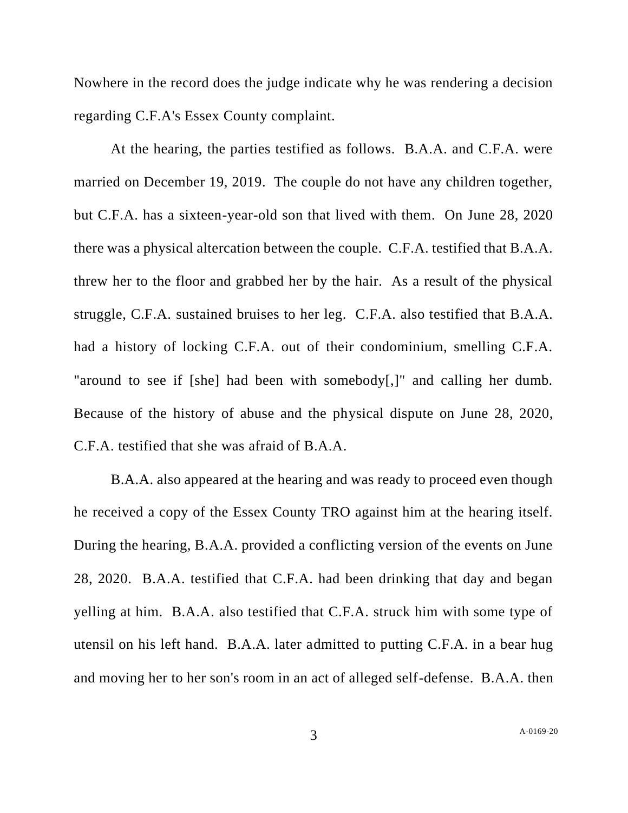Nowhere in the record does the judge indicate why he was rendering a decision regarding C.F.A's Essex County complaint.

At the hearing, the parties testified as follows. B.A.A. and C.F.A. were married on December 19, 2019. The couple do not have any children together, but C.F.A. has a sixteen-year-old son that lived with them. On June 28, 2020 there was a physical altercation between the couple. C.F.A. testified that B.A.A. threw her to the floor and grabbed her by the hair. As a result of the physical struggle, C.F.A. sustained bruises to her leg. C.F.A. also testified that B.A.A. had a history of locking C.F.A. out of their condominium, smelling C.F.A. "around to see if [she] had been with somebody[,]" and calling her dumb. Because of the history of abuse and the physical dispute on June 28, 2020, C.F.A. testified that she was afraid of B.A.A.

B.A.A. also appeared at the hearing and was ready to proceed even though he received a copy of the Essex County TRO against him at the hearing itself. During the hearing, B.A.A. provided a conflicting version of the events on June 28, 2020. B.A.A. testified that C.F.A. had been drinking that day and began yelling at him. B.A.A. also testified that C.F.A. struck him with some type of utensil on his left hand. B.A.A. later admitted to putting C.F.A. in a bear hug and moving her to her son's room in an act of alleged self-defense. B.A.A. then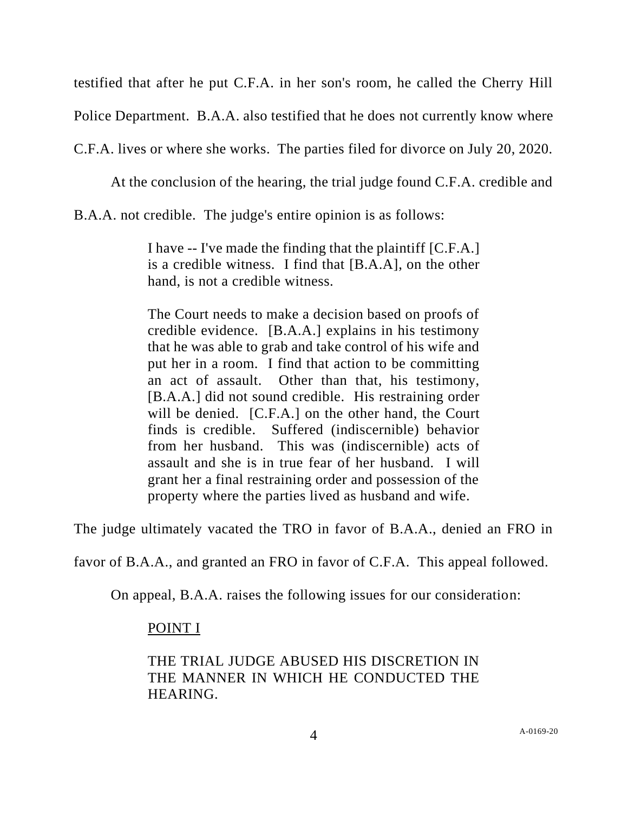testified that after he put C.F.A. in her son's room, he called the Cherry Hill

Police Department. B.A.A. also testified that he does not currently know where

C.F.A. lives or where she works. The parties filed for divorce on July 20, 2020.

At the conclusion of the hearing, the trial judge found C.F.A. credible and

B.A.A. not credible. The judge's entire opinion is as follows:

I have -- I've made the finding that the plaintiff [C.F.A.] is a credible witness. I find that [B.A.A], on the other hand, is not a credible witness.

The Court needs to make a decision based on proofs of credible evidence. [B.A.A.] explains in his testimony that he was able to grab and take control of his wife and put her in a room. I find that action to be committing an act of assault. Other than that, his testimony, [B.A.A.] did not sound credible. His restraining order will be denied. [C.F.A.] on the other hand, the Court finds is credible. Suffered (indiscernible) behavior from her husband. This was (indiscernible) acts of assault and she is in true fear of her husband. I will grant her a final restraining order and possession of the property where the parties lived as husband and wife.

The judge ultimately vacated the TRO in favor of B.A.A., denied an FRO in

favor of B.A.A., and granted an FRO in favor of C.F.A. This appeal followed.

On appeal, B.A.A. raises the following issues for our consideration:

# POINT I

## THE TRIAL JUDGE ABUSED HIS DISCRETION IN THE MANNER IN WHICH HE CONDUCTED THE HEARING.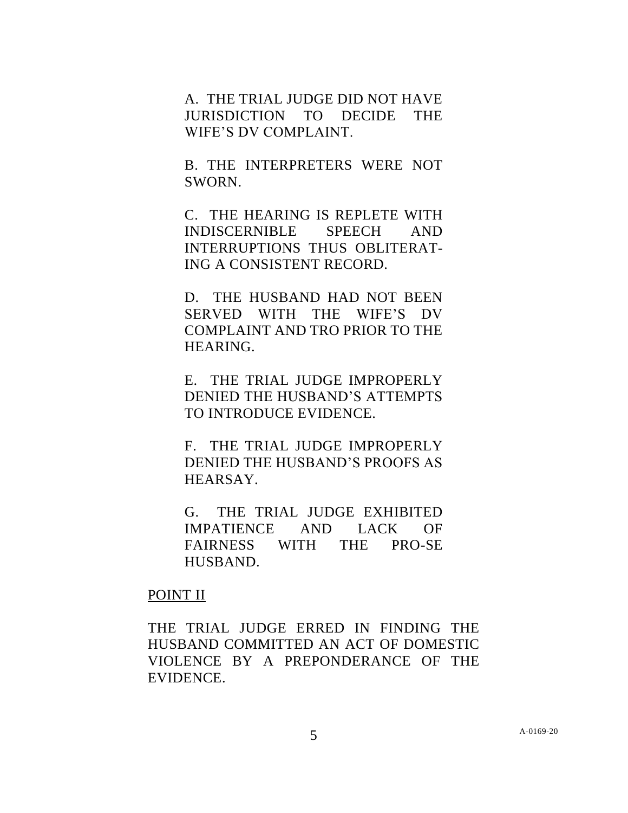A. THE TRIAL JUDGE DID NOT HAVE JURISDICTION TO DECIDE THE WIFE'S DV COMPLAINT.

B. THE INTERPRETERS WERE NOT SWORN.

C. THE HEARING IS REPLETE WITH INDISCERNIBLE SPEECH AND INTERRUPTIONS THUS OBLITERAT-ING A CONSISTENT RECORD.

D. THE HUSBAND HAD NOT BEEN SERVED WITH THE WIFE'S DV COMPLAINT AND TRO PRIOR TO THE HEARING.

E. THE TRIAL JUDGE IMPROPERLY DENIED THE HUSBAND'S ATTEMPTS TO INTRODUCE EVIDENCE.

F. THE TRIAL JUDGE IMPROPERLY DENIED THE HUSBAND'S PROOFS AS HEARSAY.

G. THE TRIAL JUDGE EXHIBITED IMPATIENCE AND LACK OF FAIRNESS WITH THE PRO-SE HUSBAND.

### POINT II

THE TRIAL JUDGE ERRED IN FINDING THE HUSBAND COMMITTED AN ACT OF DOMESTIC VIOLENCE BY A PREPONDERANCE OF THE EVIDENCE.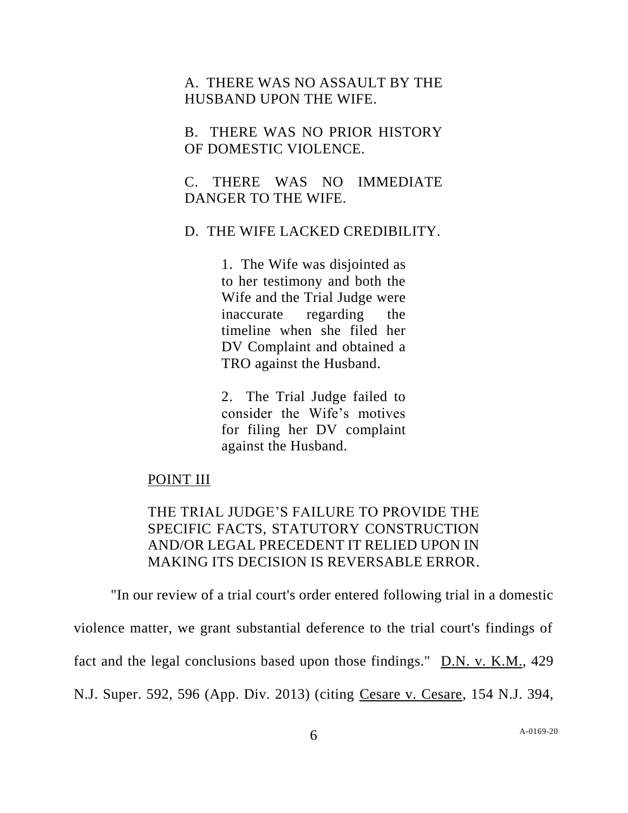A. THERE WAS NO ASSAULT BY THE HUSBAND UPON THE WIFE.

B. THERE WAS NO PRIOR HISTORY OF DOMESTIC VIOLENCE.

C. THERE WAS NO IMMEDIATE DANGER TO THE WIFE.

D. THE WIFE LACKED CREDIBILITY.

1. The Wife was disjointed as to her testimony and both the Wife and the Trial Judge were inaccurate regarding the timeline when she filed her DV Complaint and obtained a TRO against the Husband.

2. The Trial Judge failed to consider the Wife's motives for filing her DV complaint against the Husband.

#### POINT III

THE TRIAL JUDGE'S FAILURE TO PROVIDE THE SPECIFIC FACTS, STATUTORY CONSTRUCTION AND/OR LEGAL PRECEDENT IT RELIED UPON IN MAKING ITS DECISION IS REVERSABLE ERROR.

"In our review of a trial court's order entered following trial in a domestic

violence matter, we grant substantial deference to the trial court's findings of

fact and the legal conclusions based upon those findings." D.N. v. K.M., 429

N.J. Super. 592, 596 (App. Div. 2013) (citing Cesare v. Cesare, 154 N.J. 394,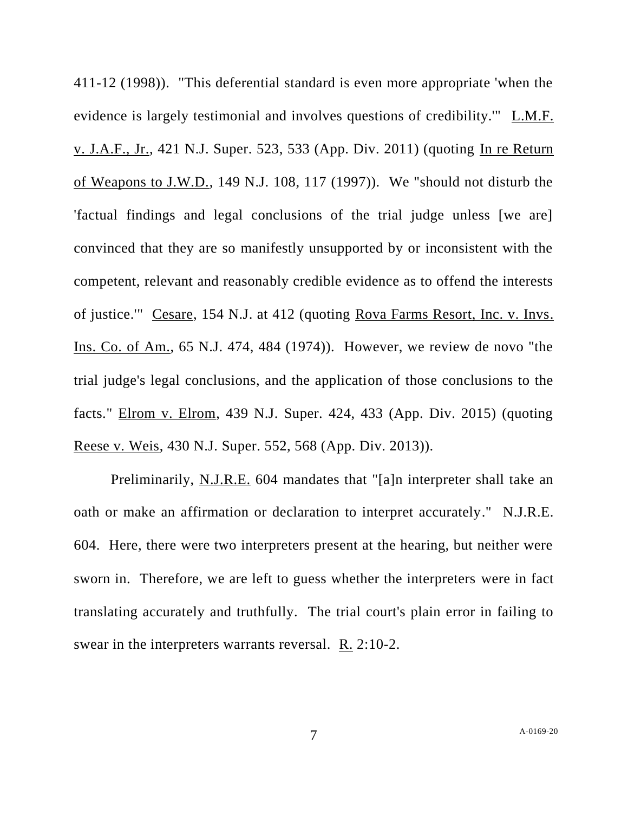411-12 (1998)). "This deferential standard is even more appropriate 'when the evidence is largely testimonial and involves questions of credibility.'" L.M.F. v. J.A.F., Jr., 421 N.J. Super. 523, 533 (App. Div. 2011) (quoting In re Return of Weapons to J.W.D., 149 N.J. 108, 117 (1997)). We "should not disturb the 'factual findings and legal conclusions of the trial judge unless [we are] convinced that they are so manifestly unsupported by or inconsistent with the competent, relevant and reasonably credible evidence as to offend the interests of justice.'" Cesare, 154 N.J. at 412 (quoting Rova Farms Resort, Inc. v. Invs. Ins. Co. of Am., 65 N.J. 474, 484 (1974)). However, we review de novo "the trial judge's legal conclusions, and the application of those conclusions to the facts." Elrom v. Elrom, 439 N.J. Super. 424, 433 (App. Div. 2015) (quoting Reese v. Weis, 430 N.J. Super. 552, 568 (App. Div. 2013)).

Preliminarily, N.J.R.E. 604 mandates that "[a]n interpreter shall take an oath or make an affirmation or declaration to interpret accurately." N.J.R.E. 604. Here, there were two interpreters present at the hearing, but neither were sworn in. Therefore, we are left to guess whether the interpreters were in fact translating accurately and truthfully. The trial court's plain error in failing to swear in the interpreters warrants reversal. R. 2:10-2.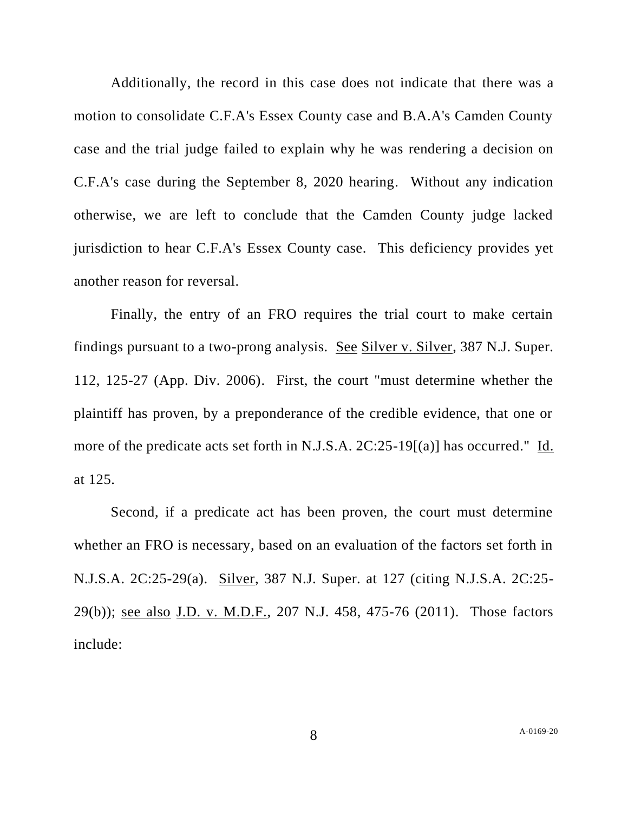Additionally, the record in this case does not indicate that there was a motion to consolidate C.F.A's Essex County case and B.A.A's Camden County case and the trial judge failed to explain why he was rendering a decision on C.F.A's case during the September 8, 2020 hearing. Without any indication otherwise, we are left to conclude that the Camden County judge lacked jurisdiction to hear C.F.A's Essex County case. This deficiency provides yet another reason for reversal.

Finally, the entry of an FRO requires the trial court to make certain findings pursuant to a two-prong analysis. See Silver v. Silver, 387 N.J. Super. 112, 125-27 (App. Div. 2006). First, the court "must determine whether the plaintiff has proven, by a preponderance of the credible evidence, that one or more of the predicate acts set forth in N.J.S.A. 2C:25-19[(a)] has occurred." Id. at 125.

Second, if a predicate act has been proven, the court must determine whether an FRO is necessary, based on an evaluation of the factors set forth in N.J.S.A. 2C:25-29(a). Silver, 387 N.J. Super. at 127 (citing N.J.S.A. 2C:25- 29(b)); see also J.D. v. M.D.F., 207 N.J. 458, 475-76 (2011). Those factors include: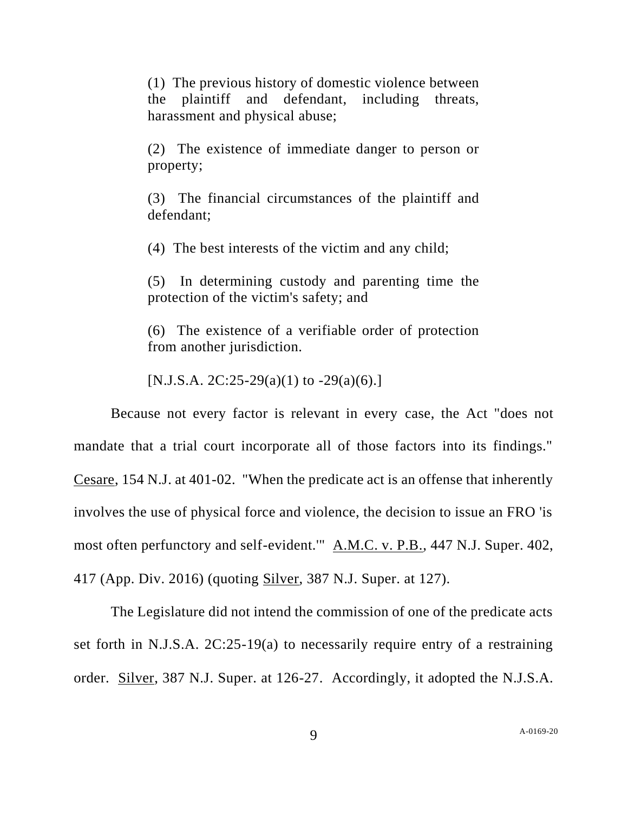(1) The previous history of domestic violence between the plaintiff and defendant, including threats, harassment and physical abuse;

(2) The existence of immediate danger to person or property;

(3) The financial circumstances of the plaintiff and defendant;

(4) The best interests of the victim and any child;

(5) In determining custody and parenting time the protection of the victim's safety; and

(6) The existence of a verifiable order of protection from another jurisdiction.

[N.J.S.A. 2C:25-29(a)(1) to  $-29(a)(6)$ .]

Because not every factor is relevant in every case, the Act "does not mandate that a trial court incorporate all of those factors into its findings." Cesare, 154 N.J. at 401-02. "When the predicate act is an offense that inherently involves the use of physical force and violence, the decision to issue an FRO 'is most often perfunctory and self-evident.'" A.M.C. v. P.B., 447 N.J. Super. 402, 417 (App. Div. 2016) (quoting Silver, 387 N.J. Super. at 127).

The Legislature did not intend the commission of one of the predicate acts set forth in N.J.S.A. 2C:25-19(a) to necessarily require entry of a restraining order. Silver, 387 N.J. Super. at 126-27. Accordingly, it adopted the N.J.S.A.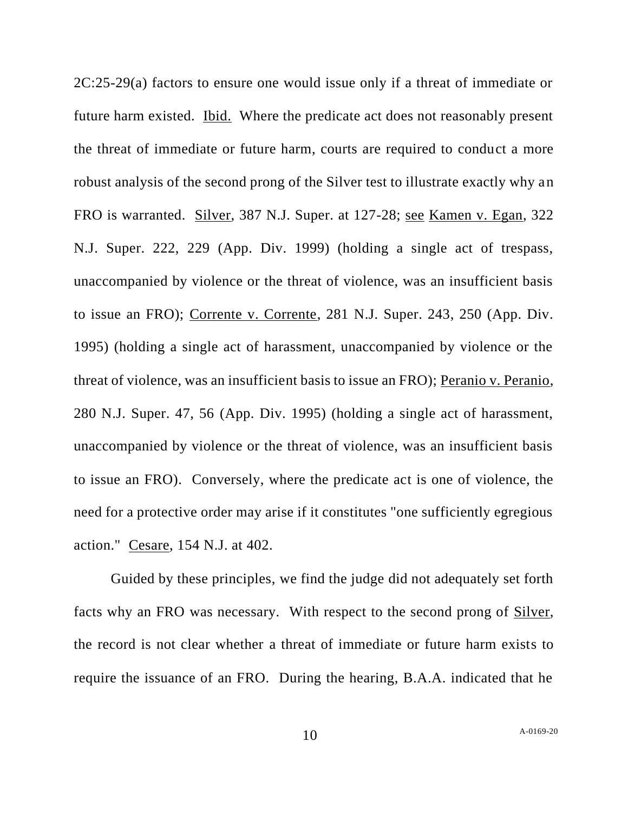2C:25-29(a) factors to ensure one would issue only if a threat of immediate or future harm existed. Ibid. Where the predicate act does not reasonably present the threat of immediate or future harm, courts are required to conduct a more robust analysis of the second prong of the Silver test to illustrate exactly why an FRO is warranted. Silver, 387 N.J. Super. at 127-28; see Kamen v. Egan, 322 N.J. Super. 222, 229 (App. Div. 1999) (holding a single act of trespass, unaccompanied by violence or the threat of violence, was an insufficient basis to issue an FRO); Corrente v. Corrente, 281 N.J. Super. 243, 250 (App. Div. 1995) (holding a single act of harassment, unaccompanied by violence or the threat of violence, was an insufficient basis to issue an FRO); Peranio v. Peranio, 280 N.J. Super. 47, 56 (App. Div. 1995) (holding a single act of harassment, unaccompanied by violence or the threat of violence, was an insufficient basis to issue an FRO). Conversely, where the predicate act is one of violence, the need for a protective order may arise if it constitutes "one sufficiently egregious action." Cesare, 154 N.J. at 402.

Guided by these principles, we find the judge did not adequately set forth facts why an FRO was necessary. With respect to the second prong of Silver, the record is not clear whether a threat of immediate or future harm exists to require the issuance of an FRO. During the hearing, B.A.A. indicated that he